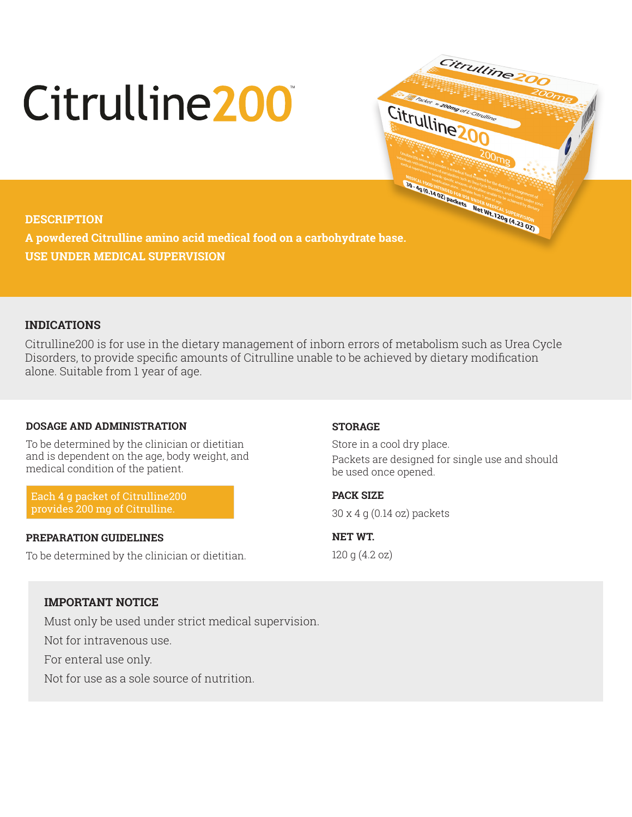# Citrulline 200



**A powdered Citrulline amino acid medical food on a carbohydrate base. USE UNDER MEDICAL SUPERVISION**

# **INDICATIONS**

Citrulline200 is for use in the dietary management of inborn errors of metabolism such as Urea Cycle Disorders, to provide specific amounts of Citrulline unable to be achieved by dietary modification alone. Suitable from 1 year of age.

# **DOSAGE AND ADMINISTRATION**

To be determined by the clinician or dietitian and is dependent on the age, body weight, and medical condition of the patient.

Each 4 g packet of Citrulline200 provides 200 mg of Citrulline.

### **PREPARATION GUIDELINES**

To be determined by the clinician or dietitian.

### **STORAGE**

Store in a cool dry place. Packets are designed for single use and should be used once opened.

Citrulline20

Packer = 200mg of L-Citrum

Citrulline

**PACK SIZE**  30 x 4 g (0.14 oz) packets

**NET WT.**  120 g (4.2 oz)

# **IMPORTANT NOTICE**

Must only be used under strict medical supervision.

Not for intravenous use.

For enteral use only.

Not for use as a sole source of nutrition.